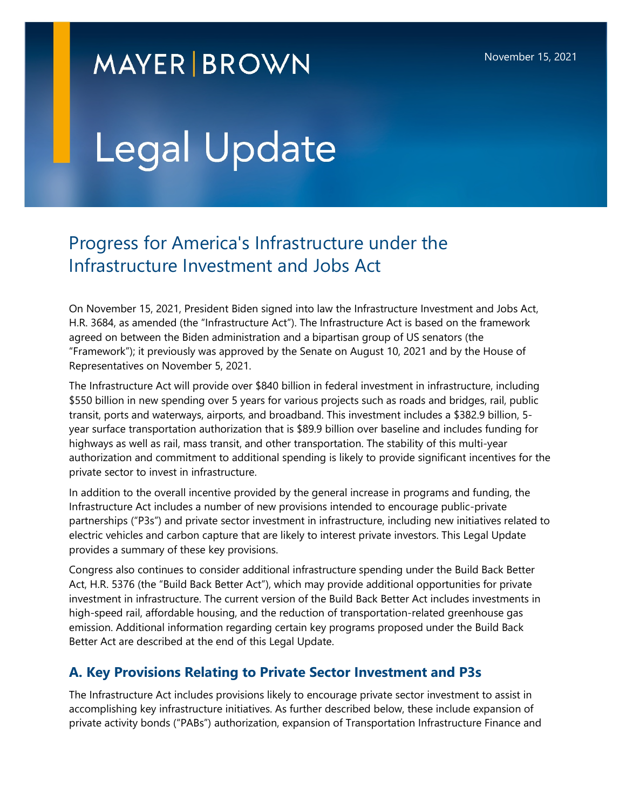# **MAYER BROWN**

# Legal Update

# Progress for America's Infrastructure under the Infrastructure Investment and Jobs Act

On November 15, 2021, President Biden signed into law the Infrastructure Investment and Jobs Act, H.R. 3684, as amended (the "Infrastructure Act"). The Infrastructure Act is based on the framework agreed on between the Biden administration and a bipartisan group of US senators (the "Framework"); it previously was approved by the Senate on August 10, 2021 and by the House of Representatives on November 5, 2021.

The Infrastructure Act will provide over \$840 billion in federal investment in infrastructure, including \$550 billion in new spending over 5 years for various projects such as roads and bridges, rail, public transit, ports and waterways, airports, and broadband. This investment includes a \$382.9 billion, 5 year surface transportation authorization that is \$89.9 billion over baseline and includes funding for highways as well as rail, mass transit, and other transportation. The stability of this multi-year authorization and commitment to additional spending is likely to provide significant incentives for the private sector to invest in infrastructure.

In addition to the overall incentive provided by the general increase in programs and funding, the Infrastructure Act includes a number of new provisions intended to encourage public-private partnerships ("P3s") and private sector investment in infrastructure, including new initiatives related to electric vehicles and carbon capture that are likely to interest private investors. This Legal Update provides a summary of these key provisions.

Congress also continues to consider additional infrastructure spending under the Build Back Better Act, H.R. 5376 (the "Build Back Better Act"), which may provide additional opportunities for private investment in infrastructure. The current version of the Build Back Better Act includes investments in high-speed rail, affordable housing, and the reduction of transportation-related greenhouse gas emission. Additional information regarding certain key programs proposed under the Build Back Better Act are described at the end of this Legal Update.

## **A. Key Provisions Relating to Private Sector Investment and P3s**

The Infrastructure Act includes provisions likely to encourage private sector investment to assist in accomplishing key infrastructure initiatives. As further described below, these include expansion of private activity bonds ("PABs") authorization, expansion of Transportation Infrastructure Finance and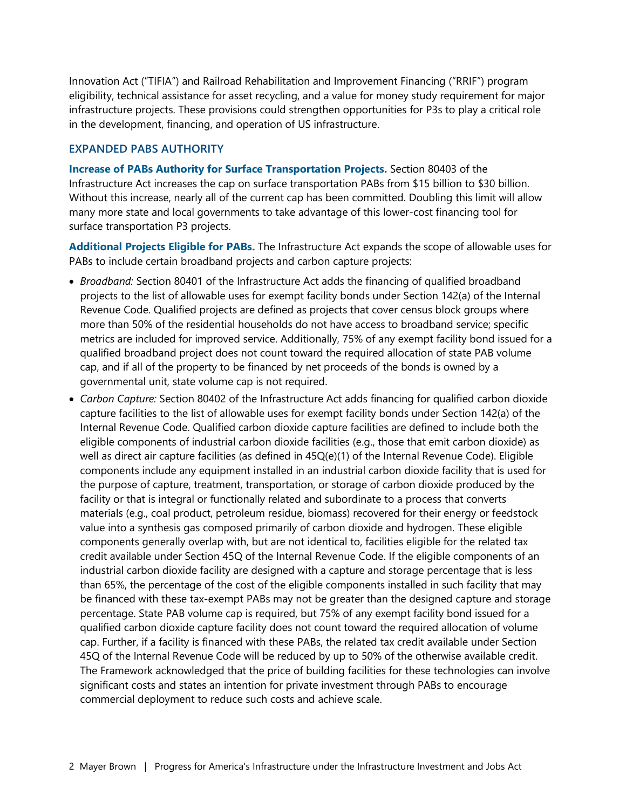Innovation Act ("TIFIA") and Railroad Rehabilitation and Improvement Financing ("RRIF") program eligibility, technical assistance for asset recycling, and a value for money study requirement for major infrastructure projects. These provisions could strengthen opportunities for P3s to play a critical role in the development, financing, and operation of US infrastructure.

#### **EXPANDED PABS AUTHORITY**

**Increase of PABs Authority for Surface Transportation Projects.** Section 80403 of the Infrastructure Act increases the cap on surface transportation PABs from \$15 billion to \$30 billion. Without this increase, nearly all of the current cap has been committed. Doubling this limit will allow many more state and local governments to take advantage of this lower-cost financing tool for surface transportation P3 projects.

**Additional Projects Eligible for PABs.** The Infrastructure Act expands the scope of allowable uses for PABs to include certain broadband projects and carbon capture projects:

- *Broadband:* Section 80401 of the Infrastructure Act adds the financing of qualified broadband projects to the list of allowable uses for exempt facility bonds under Section 142(a) of the Internal Revenue Code. Qualified projects are defined as projects that cover census block groups where more than 50% of the residential households do not have access to broadband service; specific metrics are included for improved service. Additionally, 75% of any exempt facility bond issued for a qualified broadband project does not count toward the required allocation of state PAB volume cap, and if all of the property to be financed by net proceeds of the bonds is owned by a governmental unit, state volume cap is not required.
- *Carbon Capture:* Section 80402 of the Infrastructure Act adds financing for qualified carbon dioxide capture facilities to the list of allowable uses for exempt facility bonds under Section 142(a) of the Internal Revenue Code. Qualified carbon dioxide capture facilities are defined to include both the eligible components of industrial carbon dioxide facilities (e.g., those that emit carbon dioxide) as well as direct air capture facilities (as defined in 45Q(e)(1) of the Internal Revenue Code). Eligible components include any equipment installed in an industrial carbon dioxide facility that is used for the purpose of capture, treatment, transportation, or storage of carbon dioxide produced by the facility or that is integral or functionally related and subordinate to a process that converts materials (e.g., coal product, petroleum residue, biomass) recovered for their energy or feedstock value into a synthesis gas composed primarily of carbon dioxide and hydrogen. These eligible components generally overlap with, but are not identical to, facilities eligible for the related tax credit available under Section 45Q of the Internal Revenue Code. If the eligible components of an industrial carbon dioxide facility are designed with a capture and storage percentage that is less than 65%, the percentage of the cost of the eligible components installed in such facility that may be financed with these tax-exempt PABs may not be greater than the designed capture and storage percentage. State PAB volume cap is required, but 75% of any exempt facility bond issued for a qualified carbon dioxide capture facility does not count toward the required allocation of volume cap. Further, if a facility is financed with these PABs, the related tax credit available under Section 45Q of the Internal Revenue Code will be reduced by up to 50% of the otherwise available credit. The Framework acknowledged that the price of building facilities for these technologies can involve significant costs and states an intention for private investment through PABs to encourage commercial deployment to reduce such costs and achieve scale.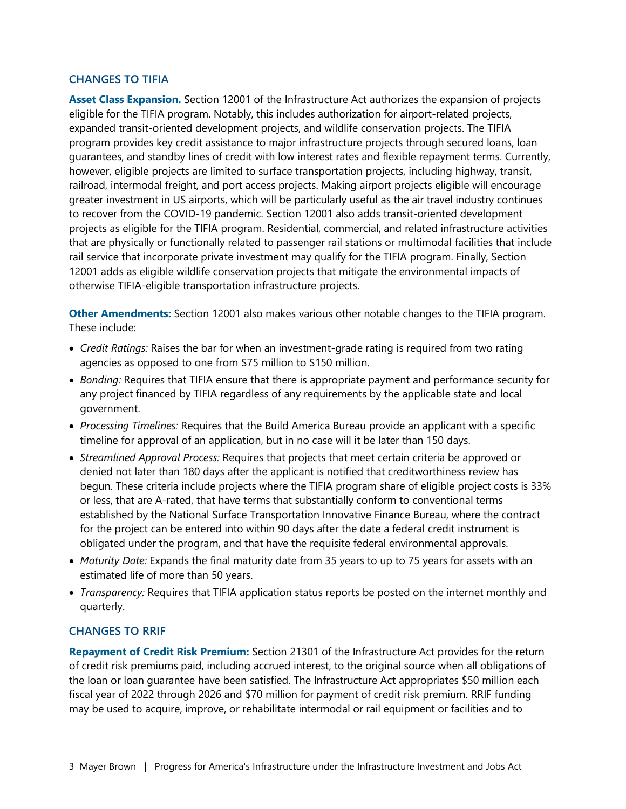#### **CHANGES TO TIFIA**

**Asset Class Expansion.** Section 12001 of the Infrastructure Act authorizes the expansion of projects eligible for the TIFIA program. Notably, this includes authorization for airport-related projects, expanded transit-oriented development projects, and wildlife conservation projects. The TIFIA program provides key credit assistance to major infrastructure projects through secured loans, loan guarantees, and standby lines of credit with low interest rates and flexible repayment terms. Currently, however, eligible projects are limited to surface transportation projects, including highway, transit, railroad, intermodal freight, and port access projects. Making airport projects eligible will encourage greater investment in US airports, which will be particularly useful as the air travel industry continues to recover from the COVID-19 pandemic. Section 12001 also adds transit-oriented development projects as eligible for the TIFIA program. Residential, commercial, and related infrastructure activities that are physically or functionally related to passenger rail stations or multimodal facilities that include rail service that incorporate private investment may qualify for the TIFIA program. Finally, Section 12001 adds as eligible wildlife conservation projects that mitigate the environmental impacts of otherwise TIFIA-eligible transportation infrastructure projects.

**Other Amendments:** Section 12001 also makes various other notable changes to the TIFIA program. These include:

- *Credit Ratings:* Raises the bar for when an investment-grade rating is required from two rating agencies as opposed to one from \$75 million to \$150 million.
- *Bonding:* Requires that TIFIA ensure that there is appropriate payment and performance security for any project financed by TIFIA regardless of any requirements by the applicable state and local government.
- *Processing Timelines:* Requires that the Build America Bureau provide an applicant with a specific timeline for approval of an application, but in no case will it be later than 150 days.
- *Streamlined Approval Process:* Requires that projects that meet certain criteria be approved or denied not later than 180 days after the applicant is notified that creditworthiness review has begun. These criteria include projects where the TIFIA program share of eligible project costs is 33% or less, that are A-rated, that have terms that substantially conform to conventional terms established by the National Surface Transportation Innovative Finance Bureau, where the contract for the project can be entered into within 90 days after the date a federal credit instrument is obligated under the program, and that have the requisite federal environmental approvals.
- *Maturity Date:* Expands the final maturity date from 35 years to up to 75 years for assets with an estimated life of more than 50 years.
- *Transparency:* Requires that TIFIA application status reports be posted on the internet monthly and quarterly.

#### **CHANGES TO RRIF**

**Repayment of Credit Risk Premium:** Section 21301 of the Infrastructure Act provides for the return of credit risk premiums paid, including accrued interest, to the original source when all obligations of the loan or loan guarantee have been satisfied. The Infrastructure Act appropriates \$50 million each fiscal year of 2022 through 2026 and \$70 million for payment of credit risk premium. RRIF funding may be used to acquire, improve, or rehabilitate intermodal or rail equipment or facilities and to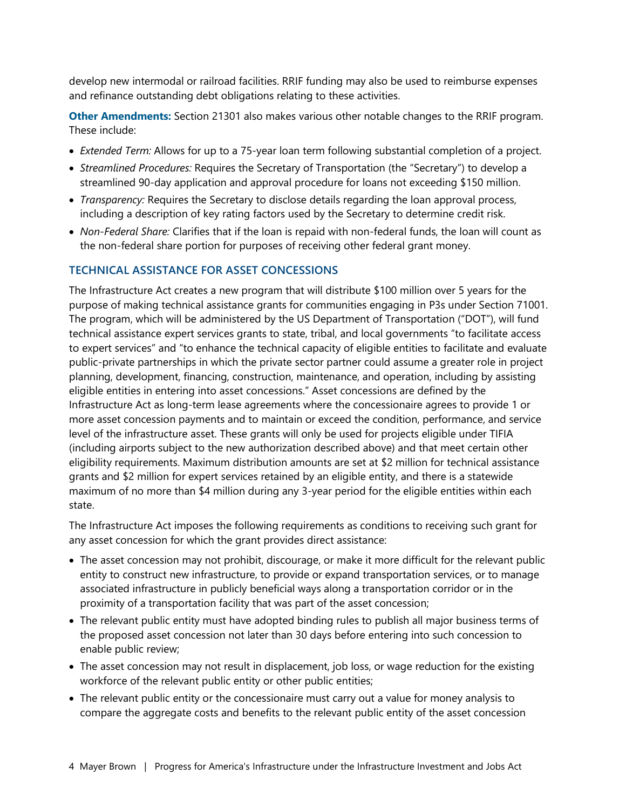develop new intermodal or railroad facilities. RRIF funding may also be used to reimburse expenses and refinance outstanding debt obligations relating to these activities.

**Other Amendments:** Section 21301 also makes various other notable changes to the RRIF program. These include:

- *Extended Term:* Allows for up to a 75-year loan term following substantial completion of a project.
- *Streamlined Procedures:* Requires the Secretary of Transportation (the "Secretary") to develop a streamlined 90-day application and approval procedure for loans not exceeding \$150 million.
- *Transparency:* Requires the Secretary to disclose details regarding the loan approval process, including a description of key rating factors used by the Secretary to determine credit risk.
- *Non-Federal Share:* Clarifies that if the loan is repaid with non-federal funds, the loan will count as the non-federal share portion for purposes of receiving other federal grant money.

#### **TECHNICAL ASSISTANCE FOR ASSET CONCESSIONS**

The Infrastructure Act creates a new program that will distribute \$100 million over 5 years for the purpose of making technical assistance grants for communities engaging in P3s under Section 71001. The program, which will be administered by the US Department of Transportation ("DOT"), will fund technical assistance expert services grants to state, tribal, and local governments "to facilitate access to expert services" and "to enhance the technical capacity of eligible entities to facilitate and evaluate public-private partnerships in which the private sector partner could assume a greater role in project planning, development, financing, construction, maintenance, and operation, including by assisting eligible entities in entering into asset concessions." Asset concessions are defined by the Infrastructure Act as long-term lease agreements where the concessionaire agrees to provide 1 or more asset concession payments and to maintain or exceed the condition, performance, and service level of the infrastructure asset. These grants will only be used for projects eligible under TIFIA (including airports subject to the new authorization described above) and that meet certain other eligibility requirements. Maximum distribution amounts are set at \$2 million for technical assistance grants and \$2 million for expert services retained by an eligible entity, and there is a statewide maximum of no more than \$4 million during any 3-year period for the eligible entities within each state.

The Infrastructure Act imposes the following requirements as conditions to receiving such grant for any asset concession for which the grant provides direct assistance:

- The asset concession may not prohibit, discourage, or make it more difficult for the relevant public entity to construct new infrastructure, to provide or expand transportation services, or to manage associated infrastructure in publicly beneficial ways along a transportation corridor or in the proximity of a transportation facility that was part of the asset concession;
- The relevant public entity must have adopted binding rules to publish all major business terms of the proposed asset concession not later than 30 days before entering into such concession to enable public review;
- The asset concession may not result in displacement, job loss, or wage reduction for the existing workforce of the relevant public entity or other public entities;
- The relevant public entity or the concessionaire must carry out a value for money analysis to compare the aggregate costs and benefits to the relevant public entity of the asset concession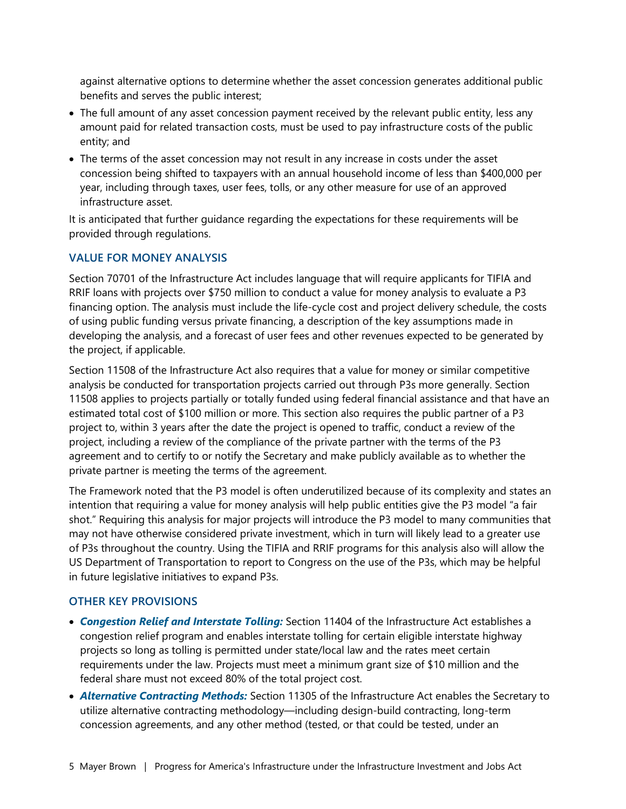against alternative options to determine whether the asset concession generates additional public benefits and serves the public interest;

- The full amount of any asset concession payment received by the relevant public entity, less any amount paid for related transaction costs, must be used to pay infrastructure costs of the public entity; and
- The terms of the asset concession may not result in any increase in costs under the asset concession being shifted to taxpayers with an annual household income of less than \$400,000 per year, including through taxes, user fees, tolls, or any other measure for use of an approved infrastructure asset.

It is anticipated that further guidance regarding the expectations for these requirements will be provided through regulations.

#### **VALUE FOR MONEY ANALYSIS**

Section 70701 of the Infrastructure Act includes language that will require applicants for TIFIA and RRIF loans with projects over \$750 million to conduct a value for money analysis to evaluate a P3 financing option. The analysis must include the life-cycle cost and project delivery schedule, the costs of using public funding versus private financing, a description of the key assumptions made in developing the analysis, and a forecast of user fees and other revenues expected to be generated by the project, if applicable.

Section 11508 of the Infrastructure Act also requires that a value for money or similar competitive analysis be conducted for transportation projects carried out through P3s more generally. Section 11508 applies to projects partially or totally funded using federal financial assistance and that have an estimated total cost of \$100 million or more. This section also requires the public partner of a P3 project to, within 3 years after the date the project is opened to traffic, conduct a review of the project, including a review of the compliance of the private partner with the terms of the P3 agreement and to certify to or notify the Secretary and make publicly available as to whether the private partner is meeting the terms of the agreement.

The Framework noted that the P3 model is often underutilized because of its complexity and states an intention that requiring a value for money analysis will help public entities give the P3 model "a fair shot." Requiring this analysis for major projects will introduce the P3 model to many communities that may not have otherwise considered private investment, which in turn will likely lead to a greater use of P3s throughout the country. Using the TIFIA and RRIF programs for this analysis also will allow the US Department of Transportation to report to Congress on the use of the P3s, which may be helpful in future legislative initiatives to expand P3s.

#### **OTHER KEY PROVISIONS**

- *Congestion Relief and Interstate Tolling:* Section 11404 of the Infrastructure Act establishes a congestion relief program and enables interstate tolling for certain eligible interstate highway projects so long as tolling is permitted under state/local law and the rates meet certain requirements under the law. Projects must meet a minimum grant size of \$10 million and the federal share must not exceed 80% of the total project cost.
- *Alternative Contracting Methods:* Section 11305 of the Infrastructure Act enables the Secretary to utilize alternative contracting methodology—including design-build contracting, long-term concession agreements, and any other method (tested, or that could be tested, under an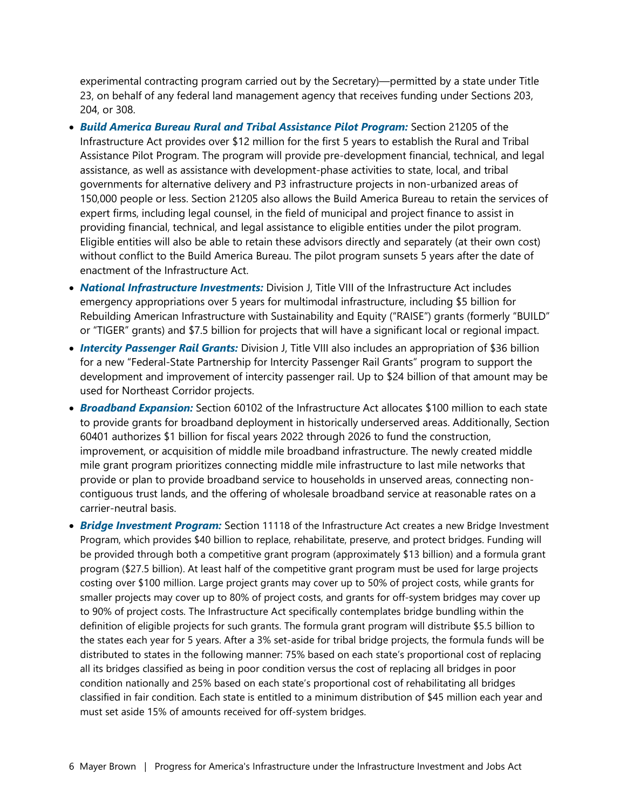experimental contracting program carried out by the Secretary)—permitted by a state under Title 23, on behalf of any federal land management agency that receives funding under Sections 203, 204, or 308.

- *Build America Bureau Rural and Tribal Assistance Pilot Program:* Section 21205 of the Infrastructure Act provides over \$12 million for the first 5 years to establish the Rural and Tribal Assistance Pilot Program. The program will provide pre-development financial, technical, and legal assistance, as well as assistance with development-phase activities to state, local, and tribal governments for alternative delivery and P3 infrastructure projects in non-urbanized areas of 150,000 people or less. Section 21205 also allows the Build America Bureau to retain the services of expert firms, including legal counsel, in the field of municipal and project finance to assist in providing financial, technical, and legal assistance to eligible entities under the pilot program. Eligible entities will also be able to retain these advisors directly and separately (at their own cost) without conflict to the Build America Bureau. The pilot program sunsets 5 years after the date of enactment of the Infrastructure Act.
- *National Infrastructure Investments:* Division J, Title VIII of the Infrastructure Act includes emergency appropriations over 5 years for multimodal infrastructure, including \$5 billion for Rebuilding American Infrastructure with Sustainability and Equity ("RAISE") grants (formerly "BUILD" or "TIGER" grants) and \$7.5 billion for projects that will have a significant local or regional impact.
- *Intercity Passenger Rail Grants:* Division J, Title VIII also includes an appropriation of \$36 billion for a new "Federal-State Partnership for Intercity Passenger Rail Grants" program to support the development and improvement of intercity passenger rail. Up to \$24 billion of that amount may be used for Northeast Corridor projects.
- *Broadband Expansion:* Section 60102 of the Infrastructure Act allocates \$100 million to each state to provide grants for broadband deployment in historically underserved areas. Additionally, Section 60401 authorizes \$1 billion for fiscal years 2022 through 2026 to fund the construction, improvement, or acquisition of middle mile broadband infrastructure. The newly created middle mile grant program prioritizes connecting middle mile infrastructure to last mile networks that provide or plan to provide broadband service to households in unserved areas, connecting noncontiguous trust lands, and the offering of wholesale broadband service at reasonable rates on a carrier-neutral basis.
- *Bridge Investment Program:* Section 11118 of the Infrastructure Act creates a new Bridge Investment Program, which provides \$40 billion to replace, rehabilitate, preserve, and protect bridges. Funding will be provided through both a competitive grant program (approximately \$13 billion) and a formula grant program (\$27.5 billion). At least half of the competitive grant program must be used for large projects costing over \$100 million. Large project grants may cover up to 50% of project costs, while grants for smaller projects may cover up to 80% of project costs, and grants for off-system bridges may cover up to 90% of project costs. The Infrastructure Act specifically contemplates bridge bundling within the definition of eligible projects for such grants. The formula grant program will distribute \$5.5 billion to the states each year for 5 years. After a 3% set-aside for tribal bridge projects, the formula funds will be distributed to states in the following manner: 75% based on each state's proportional cost of replacing all its bridges classified as being in poor condition versus the cost of replacing all bridges in poor condition nationally and 25% based on each state's proportional cost of rehabilitating all bridges classified in fair condition. Each state is entitled to a minimum distribution of \$45 million each year and must set aside 15% of amounts received for off-system bridges.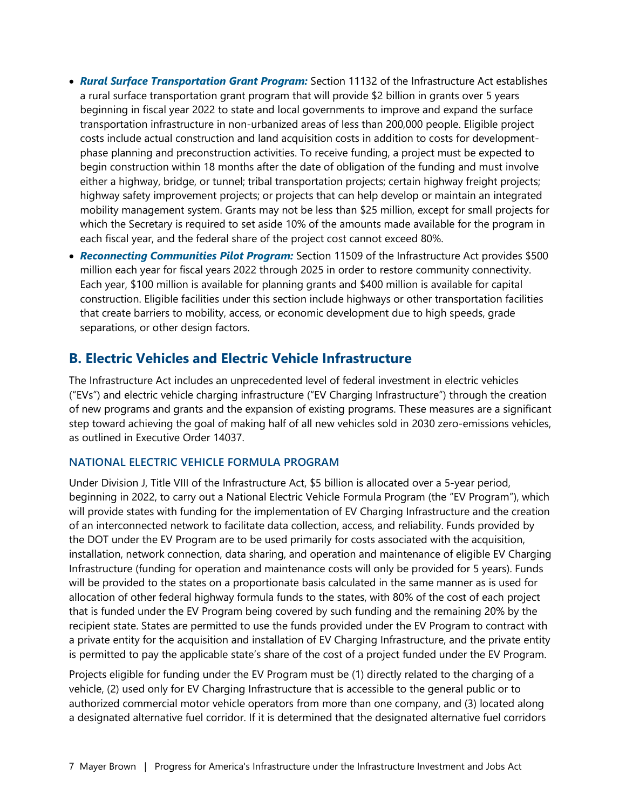- *Rural Surface Transportation Grant Program:* Section 11132 of the Infrastructure Act establishes a rural surface transportation grant program that will provide \$2 billion in grants over 5 years beginning in fiscal year 2022 to state and local governments to improve and expand the surface transportation infrastructure in non-urbanized areas of less than 200,000 people. Eligible project costs include actual construction and land acquisition costs in addition to costs for developmentphase planning and preconstruction activities. To receive funding, a project must be expected to begin construction within 18 months after the date of obligation of the funding and must involve either a highway, bridge, or tunnel; tribal transportation projects; certain highway freight projects; highway safety improvement projects; or projects that can help develop or maintain an integrated mobility management system. Grants may not be less than \$25 million, except for small projects for which the Secretary is required to set aside 10% of the amounts made available for the program in each fiscal year, and the federal share of the project cost cannot exceed 80%.
- *Reconnecting Communities Pilot Program:* Section 11509 of the Infrastructure Act provides \$500 million each year for fiscal years 2022 through 2025 in order to restore community connectivity. Each year, \$100 million is available for planning grants and \$400 million is available for capital construction. Eligible facilities under this section include highways or other transportation facilities that create barriers to mobility, access, or economic development due to high speeds, grade separations, or other design factors.

#### **B. Electric Vehicles and Electric Vehicle Infrastructure**

The Infrastructure Act includes an unprecedented level of federal investment in electric vehicles ("EVs") and electric vehicle charging infrastructure ("EV Charging Infrastructure") through the creation of new programs and grants and the expansion of existing programs. These measures are a significant step toward achieving the goal of making half of all new vehicles sold in 2030 zero-emissions vehicles, as outlined in Executive Order 14037.

#### **NATIONAL ELECTRIC VEHICLE FORMULA PROGRAM**

Under Division J, Title VIII of the Infrastructure Act, \$5 billion is allocated over a 5-year period, beginning in 2022, to carry out a National Electric Vehicle Formula Program (the "EV Program"), which will provide states with funding for the implementation of EV Charging Infrastructure and the creation of an interconnected network to facilitate data collection, access, and reliability. Funds provided by the DOT under the EV Program are to be used primarily for costs associated with the acquisition, installation, network connection, data sharing, and operation and maintenance of eligible EV Charging Infrastructure (funding for operation and maintenance costs will only be provided for 5 years). Funds will be provided to the states on a proportionate basis calculated in the same manner as is used for allocation of other federal highway formula funds to the states, with 80% of the cost of each project that is funded under the EV Program being covered by such funding and the remaining 20% by the recipient state. States are permitted to use the funds provided under the EV Program to contract with a private entity for the acquisition and installation of EV Charging Infrastructure, and the private entity is permitted to pay the applicable state's share of the cost of a project funded under the EV Program.

Projects eligible for funding under the EV Program must be (1) directly related to the charging of a vehicle, (2) used only for EV Charging Infrastructure that is accessible to the general public or to authorized commercial motor vehicle operators from more than one company, and (3) located along a designated alternative fuel corridor. If it is determined that the designated alternative fuel corridors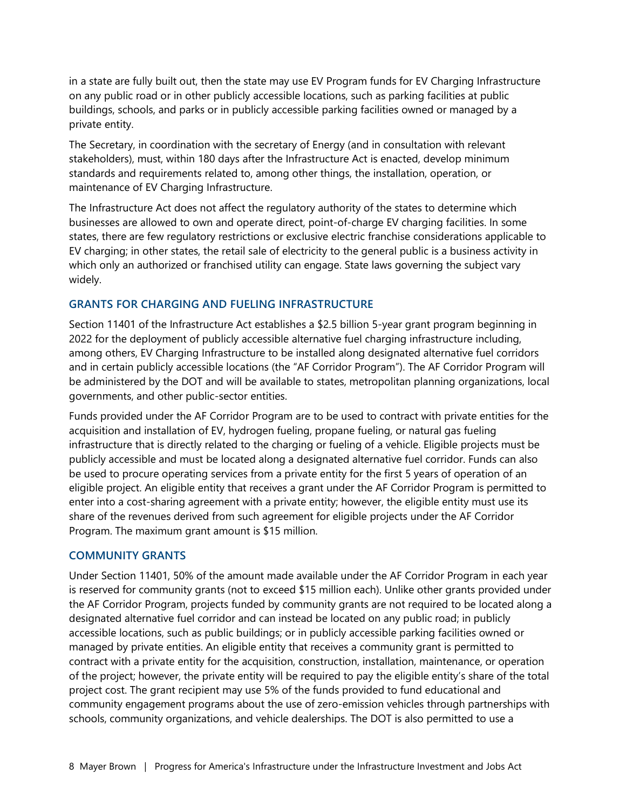in a state are fully built out, then the state may use EV Program funds for EV Charging Infrastructure on any public road or in other publicly accessible locations, such as parking facilities at public buildings, schools, and parks or in publicly accessible parking facilities owned or managed by a private entity.

The Secretary, in coordination with the secretary of Energy (and in consultation with relevant stakeholders), must, within 180 days after the Infrastructure Act is enacted, develop minimum standards and requirements related to, among other things, the installation, operation, or maintenance of EV Charging Infrastructure.

The Infrastructure Act does not affect the regulatory authority of the states to determine which businesses are allowed to own and operate direct, point-of-charge EV charging facilities. In some states, there are few regulatory restrictions or exclusive electric franchise considerations applicable to EV charging; in other states, the retail sale of electricity to the general public is a business activity in which only an authorized or franchised utility can engage. State laws governing the subject vary widely.

#### **GRANTS FOR CHARGING AND FUELING INFRASTRUCTURE**

Section 11401 of the Infrastructure Act establishes a \$2.5 billion 5-year grant program beginning in 2022 for the deployment of publicly accessible alternative fuel charging infrastructure including, among others, EV Charging Infrastructure to be installed along designated alternative fuel corridors and in certain publicly accessible locations (the "AF Corridor Program"). The AF Corridor Program will be administered by the DOT and will be available to states, metropolitan planning organizations, local governments, and other public-sector entities.

Funds provided under the AF Corridor Program are to be used to contract with private entities for the acquisition and installation of EV, hydrogen fueling, propane fueling, or natural gas fueling infrastructure that is directly related to the charging or fueling of a vehicle. Eligible projects must be publicly accessible and must be located along a designated alternative fuel corridor. Funds can also be used to procure operating services from a private entity for the first 5 years of operation of an eligible project. An eligible entity that receives a grant under the AF Corridor Program is permitted to enter into a cost-sharing agreement with a private entity; however, the eligible entity must use its share of the revenues derived from such agreement for eligible projects under the AF Corridor Program. The maximum grant amount is \$15 million.

#### **COMMUNITY GRANTS**

Under Section 11401, 50% of the amount made available under the AF Corridor Program in each year is reserved for community grants (not to exceed \$15 million each). Unlike other grants provided under the AF Corridor Program, projects funded by community grants are not required to be located along a designated alternative fuel corridor and can instead be located on any public road; in publicly accessible locations, such as public buildings; or in publicly accessible parking facilities owned or managed by private entities. An eligible entity that receives a community grant is permitted to contract with a private entity for the acquisition, construction, installation, maintenance, or operation of the project; however, the private entity will be required to pay the eligible entity's share of the total project cost. The grant recipient may use 5% of the funds provided to fund educational and community engagement programs about the use of zero-emission vehicles through partnerships with schools, community organizations, and vehicle dealerships. The DOT is also permitted to use a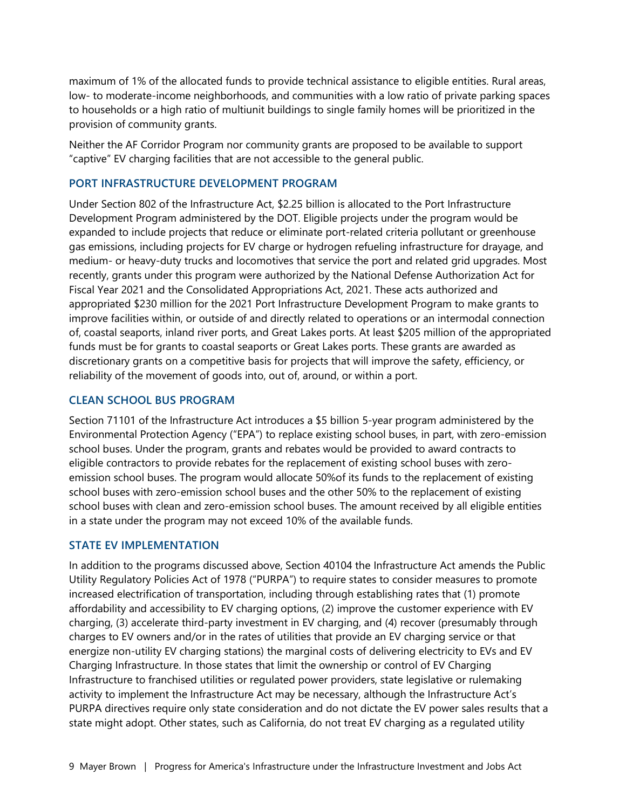maximum of 1% of the allocated funds to provide technical assistance to eligible entities. Rural areas, low- to moderate-income neighborhoods, and communities with a low ratio of private parking spaces to households or a high ratio of multiunit buildings to single family homes will be prioritized in the provision of community grants.

Neither the AF Corridor Program nor community grants are proposed to be available to support "captive" EV charging facilities that are not accessible to the general public.

#### **PORT INFRASTRUCTURE DEVELOPMENT PROGRAM**

Under Section 802 of the Infrastructure Act, \$2.25 billion is allocated to the Port Infrastructure Development Program administered by the DOT. Eligible projects under the program would be expanded to include projects that reduce or eliminate port-related criteria pollutant or greenhouse gas emissions, including projects for EV charge or hydrogen refueling infrastructure for drayage, and medium- or heavy-duty trucks and locomotives that service the port and related grid upgrades. Most recently, grants under this program were authorized by the National Defense Authorization Act for Fiscal Year 2021 and the Consolidated Appropriations Act, 2021. These acts authorized and appropriated \$230 million for the 2021 Port Infrastructure Development Program to make grants to improve facilities within, or outside of and directly related to operations or an intermodal connection of, coastal seaports, inland river ports, and Great Lakes ports. At least \$205 million of the appropriated funds must be for grants to coastal seaports or Great Lakes ports. These grants are awarded as discretionary grants on a competitive basis for projects that will improve the safety, efficiency, or reliability of the movement of goods into, out of, around, or within a port.

#### **CLEAN SCHOOL BUS PROGRAM**

Section 71101 of the Infrastructure Act introduces a \$5 billion 5-year program administered by the Environmental Protection Agency ("EPA") to replace existing school buses, in part, with zero-emission school buses. Under the program, grants and rebates would be provided to award contracts to eligible contractors to provide rebates for the replacement of existing school buses with zeroemission school buses. The program would allocate 50%of its funds to the replacement of existing school buses with zero-emission school buses and the other 50% to the replacement of existing school buses with clean and zero-emission school buses. The amount received by all eligible entities in a state under the program may not exceed 10% of the available funds.

#### **STATE EV IMPLEMENTATION**

In addition to the programs discussed above, Section 40104 the Infrastructure Act amends the Public Utility Regulatory Policies Act of 1978 ("PURPA") to require states to consider measures to promote increased electrification of transportation, including through establishing rates that (1) promote affordability and accessibility to EV charging options, (2) improve the customer experience with EV charging, (3) accelerate third-party investment in EV charging, and (4) recover (presumably through charges to EV owners and/or in the rates of utilities that provide an EV charging service or that energize non-utility EV charging stations) the marginal costs of delivering electricity to EVs and EV Charging Infrastructure. In those states that limit the ownership or control of EV Charging Infrastructure to franchised utilities or regulated power providers, state legislative or rulemaking activity to implement the Infrastructure Act may be necessary, although the Infrastructure Act's PURPA directives require only state consideration and do not dictate the EV power sales results that a state might adopt. Other states, such as California, do not treat EV charging as a regulated utility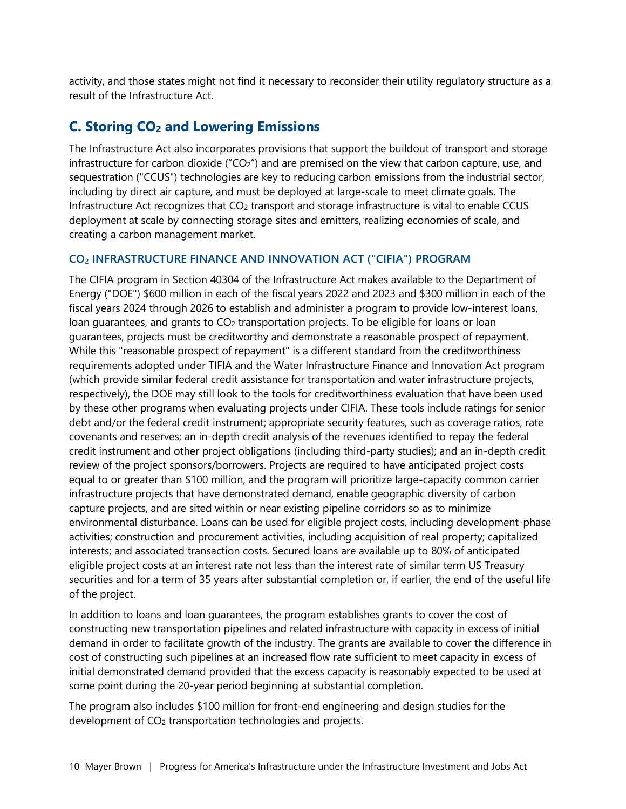activity, and those states might not find it necessary to reconsider their utility regulatory structure as a result of the Infrastructure Act.

## **C. Storing CO2 and Lowering Emissions**

The Infrastructure Act also incorporates provisions that support the buildout of transport and storage infrastructure for carbon dioxide ("CO<sub>2</sub>") and are premised on the view that carbon capture, use, and sequestration ("CCUS") technologies are key to reducing carbon emissions from the industrial sector, including by direct air capture, and must be deployed at large-scale to meet climate goals. The Infrastructure Act recognizes that  $CO<sub>2</sub>$  transport and storage infrastructure is vital to enable CCUS deployment at scale by connecting storage sites and emitters, realizing economies of scale, and creating a carbon management market.

#### **CO2 INFRASTRUCTURE FINANCE AND INNOVATION ACT ("CIFIA") PROGRAM**

The CIFIA program in Section 40304 of the Infrastructure Act makes available to the Department of Energy ("DOE") \$600 million in each of the fiscal years 2022 and 2023 and \$300 million in each of the fiscal years 2024 through 2026 to establish and administer a program to provide low-interest loans, loan guarantees, and grants to  $CO<sub>2</sub>$  transportation projects. To be eligible for loans or loan guarantees, projects must be creditworthy and demonstrate a reasonable prospect of repayment. While this "reasonable prospect of repayment" is a different standard from the creditworthiness requirements adopted under TIFIA and the Water Infrastructure Finance and Innovation Act program (which provide similar federal credit assistance for transportation and water infrastructure projects, respectively), the DOE may still look to the tools for creditworthiness evaluation that have been used by these other programs when evaluating projects under CIFIA. These tools include ratings for senior debt and/or the federal credit instrument; appropriate security features, such as coverage ratios, rate covenants and reserves; an in-depth credit analysis of the revenues identified to repay the federal credit instrument and other project obligations (including third-party studies); and an in-depth credit review of the project sponsors/borrowers. Projects are required to have anticipated project costs equal to or greater than \$100 million, and the program will prioritize large-capacity common carrier infrastructure projects that have demonstrated demand, enable geographic diversity of carbon capture projects, and are sited within or near existing pipeline corridors so as to minimize environmental disturbance. Loans can be used for eligible project costs, including development-phase activities; construction and procurement activities, including acquisition of real property; capitalized interests; and associated transaction costs. Secured loans are available up to 80% of anticipated eligible project costs at an interest rate not less than the interest rate of similar term US Treasury securities and for a term of 35 years after substantial completion or, if earlier, the end of the useful life of the project.

In addition to loans and loan guarantees, the program establishes grants to cover the cost of constructing new transportation pipelines and related infrastructure with capacity in excess of initial demand in order to facilitate growth of the industry. The grants are available to cover the difference in cost of constructing such pipelines at an increased flow rate sufficient to meet capacity in excess of initial demonstrated demand provided that the excess capacity is reasonably expected to be used at some point during the 20-year period beginning at substantial completion.

The program also includes \$100 million for front-end engineering and design studies for the development of CO2 transportation technologies and projects.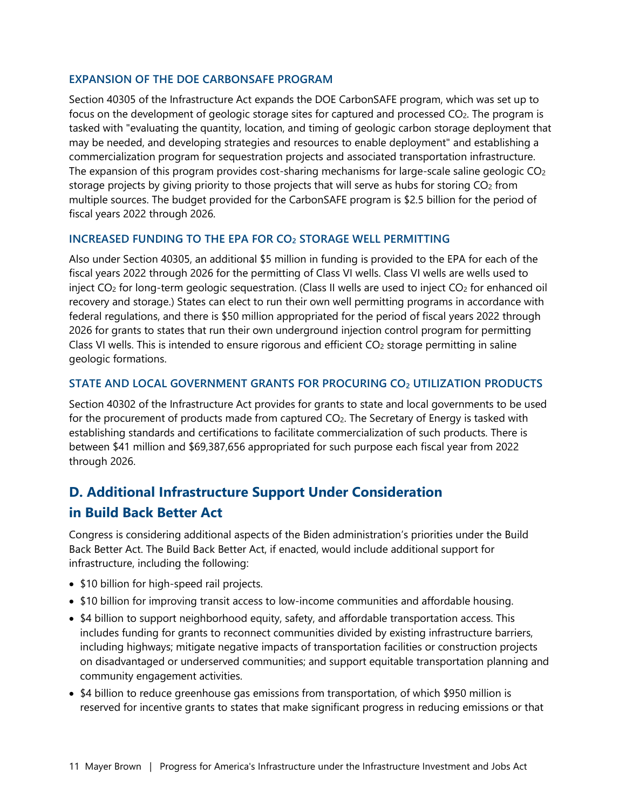#### **EXPANSION OF THE DOE CARBONSAFE PROGRAM**

Section 40305 of the Infrastructure Act expands the DOE CarbonSAFE program, which was set up to focus on the development of geologic storage sites for captured and processed CO2. The program is tasked with "evaluating the quantity, location, and timing of geologic carbon storage deployment that may be needed, and developing strategies and resources to enable deployment" and establishing a commercialization program for sequestration projects and associated transportation infrastructure. The expansion of this program provides cost-sharing mechanisms for large-scale saline geologic  $CO<sub>2</sub>$ storage projects by giving priority to those projects that will serve as hubs for storing CO<sub>2</sub> from multiple sources. The budget provided for the CarbonSAFE program is \$2.5 billion for the period of fiscal years 2022 through 2026.

#### **INCREASED FUNDING TO THE EPA FOR CO2 STORAGE WELL PERMITTING**

Also under Section 40305, an additional \$5 million in funding is provided to the EPA for each of the fiscal years 2022 through 2026 for the permitting of Class VI wells. Class VI wells are wells used to inject CO<sub>2</sub> for long-term geologic sequestration. (Class II wells are used to inject CO<sub>2</sub> for enhanced oil recovery and storage.) States can elect to run their own well permitting programs in accordance with federal regulations, and there is \$50 million appropriated for the period of fiscal years 2022 through 2026 for grants to states that run their own underground injection control program for permitting Class VI wells. This is intended to ensure rigorous and efficient  $CO<sub>2</sub>$  storage permitting in saline geologic formations.

#### **STATE AND LOCAL GOVERNMENT GRANTS FOR PROCURING CO2 UTILIZATION PRODUCTS**

Section 40302 of the Infrastructure Act provides for grants to state and local governments to be used for the procurement of products made from captured CO<sub>2</sub>. The Secretary of Energy is tasked with establishing standards and certifications to facilitate commercialization of such products. There is between \$41 million and \$69,387,656 appropriated for such purpose each fiscal year from 2022 through 2026.

# **D. Additional Infrastructure Support Under Consideration in Build Back Better Act**

Congress is considering additional aspects of the Biden administration's priorities under the Build Back Better Act. The Build Back Better Act, if enacted, would include additional support for infrastructure, including the following:

- \$10 billion for high-speed rail projects.
- \$10 billion for improving transit access to low-income communities and affordable housing.
- \$4 billion to support neighborhood equity, safety, and affordable transportation access. This includes funding for grants to reconnect communities divided by existing infrastructure barriers, including highways; mitigate negative impacts of transportation facilities or construction projects on disadvantaged or underserved communities; and support equitable transportation planning and community engagement activities.
- \$4 billion to reduce greenhouse gas emissions from transportation, of which \$950 million is reserved for incentive grants to states that make significant progress in reducing emissions or that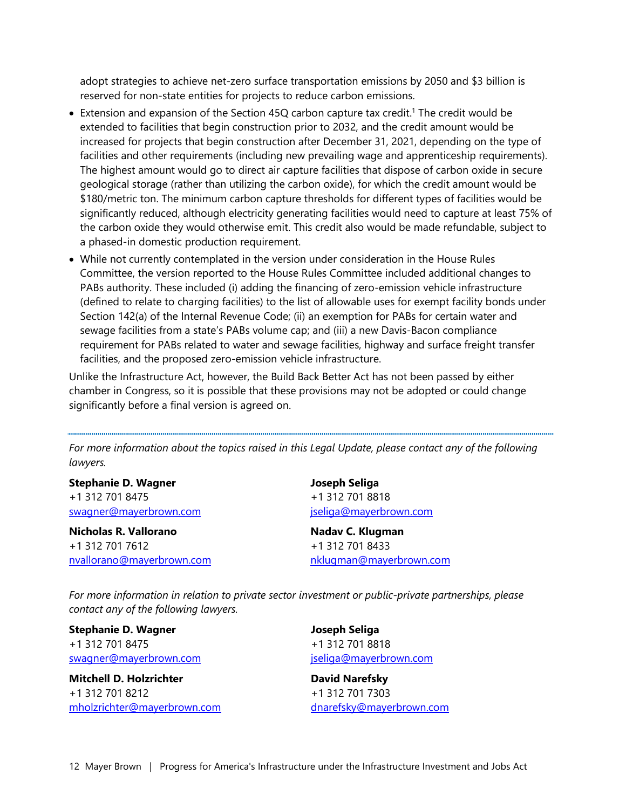adopt strategies to achieve net-zero surface transportation emissions by 2050 and \$3 billion is reserved for non-state entities for projects to reduce carbon emissions.

- Extension and expansion of the Section 45Q carbon capture tax credit.<sup>[1](#page-13-0)</sup> The credit would be extended to facilities that begin construction prior to 2032, and the credit amount would be increased for projects that begin construction after December 31, 2021, depending on the type of facilities and other requirements (including new prevailing wage and apprenticeship requirements). The highest amount would go to direct air capture facilities that dispose of carbon oxide in secure geological storage (rather than utilizing the carbon oxide), for which the credit amount would be \$180/metric ton. The minimum carbon capture thresholds for different types of facilities would be significantly reduced, although electricity generating facilities would need to capture at least 75% of the carbon oxide they would otherwise emit. This credit also would be made refundable, subject to a phased-in domestic production requirement.
- While not currently contemplated in the version under consideration in the House Rules Committee, the version reported to the House Rules Committee included additional changes to PABs authority. These included (i) adding the financing of zero-emission vehicle infrastructure (defined to relate to charging facilities) to the list of allowable uses for exempt facility bonds under Section 142(a) of the Internal Revenue Code; (ii) an exemption for PABs for certain water and sewage facilities from a state's PABs volume cap; and (iii) a new Davis-Bacon compliance requirement for PABs related to water and sewage facilities, highway and surface freight transfer facilities, and the proposed zero-emission vehicle infrastructure.

Unlike the Infrastructure Act, however, the Build Back Better Act has not been passed by either chamber in Congress, so it is possible that these provisions may not be adopted or could change significantly before a final version is agreed on.

For more information about the topics raised in this Legal Update, please contact any of the following *lawyers.* 

**Stephanie D. Wagner**  +1 312 701 8475 [swagner@mayerbrown.com](mailto:swagner@mayerbrown.com)

**Nicholas R. Vallorano** +1 312 701 7612 [nvallorano@mayerbrown.com](mailto:nvallorano@mayerbrown.com) **Joseph Seliga** +1 312 701 8818 [jseliga@mayerbrown.com](mailto:jseliga@mayerbrown.com)

**Nadav C. Klugman** +1 312 701 8433 [nklugman@mayerbrown.com](mailto:nklugman@mayerbrown.com)

*For more information in relation to private sector investment or public-private partnerships, please contact any of the following lawyers.* 

**Stephanie D. Wagner**  +1 312 701 8475 [swagner@mayerbrown.com](mailto:swagner@mayerbrown.com)

**Mitchell D. Holzrichter** +1 312 701 8212 [mholzrichter@mayerbrown.com](mailto:mholzrichter@mayerbrown.com) **Joseph Seliga** +1 312 701 8818 [jseliga@mayerbrown.com](mailto:jseliga@mayerbrown.com)

**David Narefsky**  +1 312 701 7303 [dnarefsky@mayerbrown.com](mailto:dnarefsky@mayerbrown.com)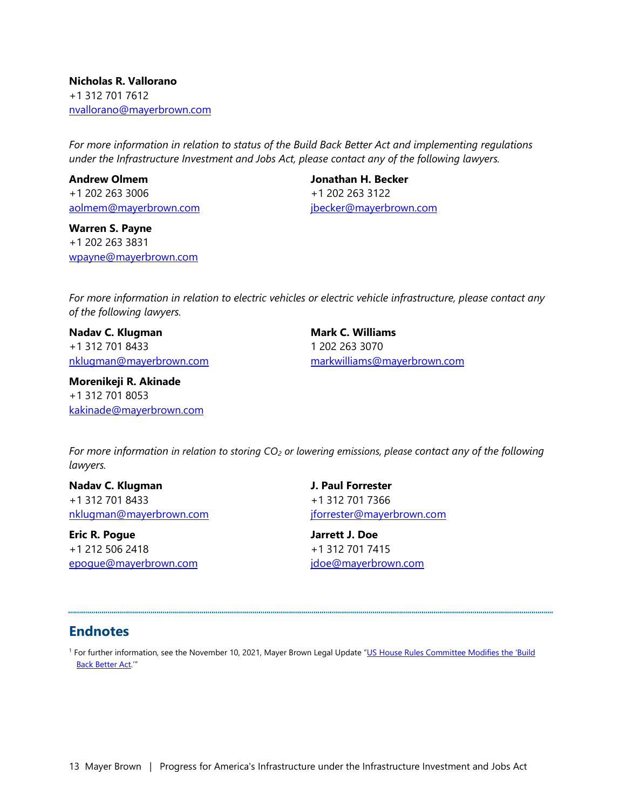**Nicholas R. Vallorano** +1 312 701 7612 [nvallorano@mayerbrown.com](mailto:nvallorano@mayerbrown.com)

*For more information in relation to status of the Build Back Better Act and implementing regulations under the Infrastructure Investment and Jobs Act, please contact any of the following lawyers.* 

**Andrew Olmem** +1 202 263 3006 [aolmem@mayerbrown.com](mailto:aolmem@mayerbrown.com) 

**Warren S. Payne** +1 202 263 3831 [wpayne@mayerbrown.com](mailto:wpayne@mayerbrown.com) **Jonathan H. Becker** +1 202 263 3122 [jbecker@mayerbrown.com](mailto:jbecker@mayerbrown.com)

*For more information in relation to electric vehicles or electric vehicle infrastructure, please contact any of the following lawyers.* 

**Nadav C. Klugman** +1 312 701 8433 [nklugman@mayerbrown.com](mailto:nklugman@mayerbrown.com)

**Morenikeji R. Akinade** +1 312 701 8053 [kakinade@mayerbrown.com](mailto:kakinade@mayerbrown.com) **Mark C. Williams** 1 202 263 3070 [markwilliams@mayerbrown.com](mailto:markwilliams@mayerbrown.com)

*For more information in relation to storing CO2 or lowering emissions, please contact any of the following lawyers.* 

**Nadav C. Klugman** +1 312 701 8433 [nklugman@mayerbrown.com](mailto:nklugman@mayerbrown.com)

**Eric R. Pogue** +1 212 506 2418 [epogue@mayerbrown.com](mailto:epogue@mayerbrown.com) **J. Paul Forrester** +1 312 701 7366 [jforrester@mayerbrown.com](mailto:jforrester@mayerbrown.com)

**Jarrett J. Doe**  +1 312 701 7415 [jdoe@mayerbrown.com](mailto:jdoe@mayerbrown.com)

#### **Endnotes**

<sup>1</sup> For further information, see the November 10, 2021, Mayer Brown Legal Update "<u>US House Rules Committee Modifies the 'Build</u> Back Better Act.'"